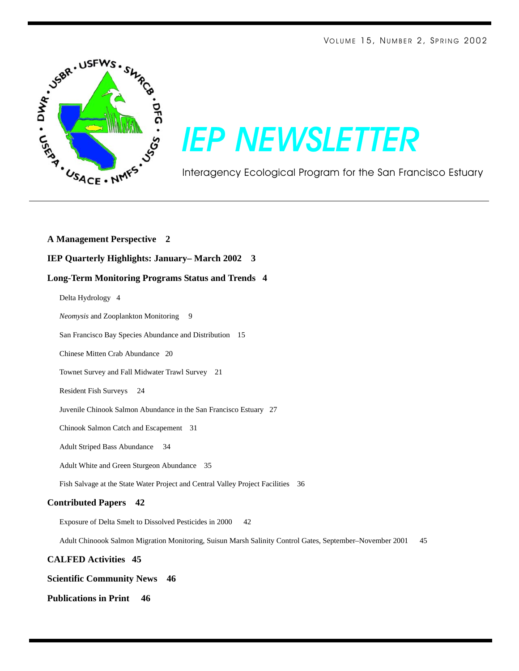

# *IEP NEWSLETTER*

Interagency Ecological Program for the San Francisco Estuary

**A Management Perspective 2 IEP Quarterly Highlights: January– March 2002 3 Long-Term Monitoring Programs Status and Trends 4** Delta Hydrology 4 *Neomysis* and Zooplankton Monitoring 9 San Francisco Bay Species Abundance and Distribution 15 Chinese Mitten Crab Abundance 20 Townet Survey and Fall Midwater Trawl Survey 21 Resident Fish Surveys 24 Juvenile Chinook Salmon Abundance in the San Francisco Estuary 27 Chinook Salmon Catch and Escapement 31 Adult Striped Bass Abundance 34 Adult White and Green Sturgeon Abundance 35 Fish Salvage at the State Water Project and Central Valley Project Facilities 36 **Contributed Papers 42** Exposure of Delta Smelt to Dissolved Pesticides in 2000 42 Adult Chinoook Salmon Migration Monitoring, Suisun Marsh Salinity Control Gates, September–November 2001 45 **CALFED Activities 45**

#### **Publications in Print 46**

**Scientific Community News 46**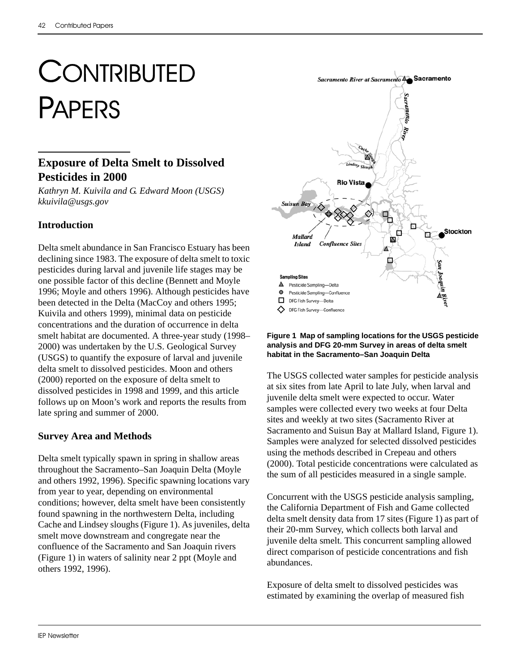# **CONTRIBUTED** PAPERS

## **Exposure of Delta Smelt to Dissolved Pesticides in 2000**

*Kathryn M. Kuivila and G. Edward Moon (USGS) kkuivila@usgs.gov*

## **Introduction**

Delta smelt abundance in San Francisco Estuary has been declining since 1983. The exposure of delta smelt to toxic pesticides during larval and juvenile life stages may be one possible factor of this decline (Bennett and Moyle 1996; Moyle and others 1996). Although pesticides have been detected in the Delta (MacCoy and others 1995; Kuivila and others 1999), minimal data on pesticide concentrations and the duration of occurrence in delta smelt habitat are documented. A three-year study (1998– 2000) was undertaken by the U.S. Geological Survey (USGS) to quantify the exposure of larval and juvenile delta smelt to dissolved pesticides. Moon and others (2000) reported on the exposure of delta smelt to dissolved pesticides in 1998 and 1999, and this article follows up on Moon's work and reports the results from late spring and summer of 2000.

## **Survey Area and Methods**

Delta smelt typically spawn in spring in shallow areas throughout the Sacramento–San Joaquin Delta (Moyle and others 1992, 1996). Specific spawning locations vary from year to year, depending on environmental conditions; however, delta smelt have been consistently found spawning in the northwestern Delta, including Cache and Lindsey sloughs (Figure 1). As juveniles, delta smelt move downstream and congregate near the confluence of the Sacramento and San Joaquin rivers (Figure 1) in waters of salinity near 2 ppt (Moyle and others 1992, 1996).



#### **Figure 1 Map of sampling locations for the USGS pesticide analysis and DFG 20-mm Survey in areas of delta smelt habitat in the Sacramento–San Joaquin Delta**

The USGS collected water samples for pesticide analysis at six sites from late April to late July, when larval and juvenile delta smelt were expected to occur. Water samples were collected every two weeks at four Delta sites and weekly at two sites (Sacramento River at Sacramento and Suisun Bay at Mallard Island, Figure 1). Samples were analyzed for selected dissolved pesticides using the methods described in Crepeau and others (2000). Total pesticide concentrations were calculated as the sum of all pesticides measured in a single sample.

Concurrent with the USGS pesticide analysis sampling, the California Department of Fish and Game collected delta smelt density data from 17 sites (Figure 1) as part of their 20-mm Survey, which collects both larval and juvenile delta smelt. This concurrent sampling allowed direct comparison of pesticide concentrations and fish abundances.

Exposure of delta smelt to dissolved pesticides was estimated by examining the overlap of measured fish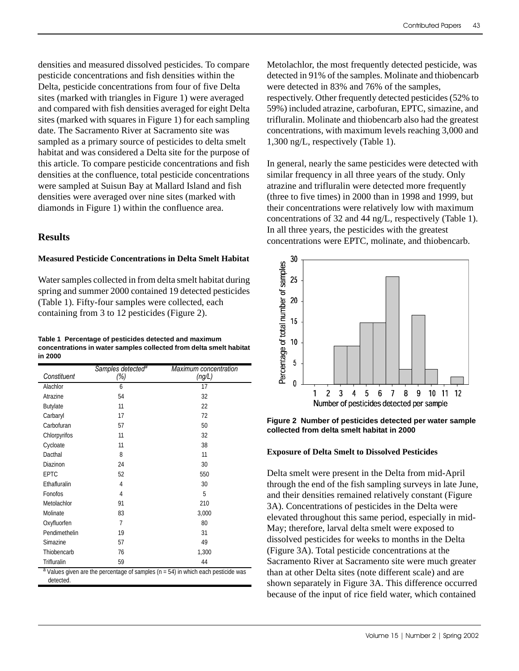densities and measured dissolved pesticides. To compare pesticide concentrations and fish densities within the Delta, pesticide concentrations from four of five Delta sites (marked with triangles in Figure 1) were averaged and compared with fish densities averaged for eight Delta sites (marked with squares in Figure 1) for each sampling date. The Sacramento River at Sacramento site was sampled as a primary source of pesticides to delta smelt habitat and was considered a Delta site for the purpose of this article. To compare pesticide concentrations and fish densities at the confluence, total pesticide concentrations were sampled at Suisun Bay at Mallard Island and fish densities were averaged over nine sites (marked with diamonds in Figure 1) within the confluence area.

### **Results**

detected.

#### **Measured Pesticide Concentrations in Delta Smelt Habitat**

Water samples collected in from delta smelt habitat during spring and summer 2000 contained 19 detected pesticides (Table 1). Fifty-four samples were collected, each containing from 3 to 12 pesticides (Figure 2).

**Table 1 Percentage of pesticides detected and maximum concentrations in water samples collected from delta smelt habitat in 2000**

| Constituent                                                                             | Samples detected <sup>a</sup><br>(%) | Maximum concentration<br>(ng/L) |
|-----------------------------------------------------------------------------------------|--------------------------------------|---------------------------------|
| Alachlor                                                                                | 6                                    | 17                              |
| Atrazine                                                                                | 54                                   | 32                              |
| <b>Butylate</b>                                                                         | 11                                   | 22                              |
| Carbaryl                                                                                | 17                                   | 72                              |
| Carbofuran                                                                              | 57                                   | 50                              |
| Chlorpyrifos                                                                            | 11                                   | 32                              |
| Cycloate                                                                                | 11                                   | 38                              |
| Dacthal                                                                                 | 8                                    | 11                              |
| Diazinon                                                                                | 24                                   | 30                              |
| EPTC                                                                                    | 52                                   | 550                             |
| Ethafluralin                                                                            | 4                                    | 30                              |
| Fonofos                                                                                 | 4                                    | 5                               |
| Metolachlor                                                                             | 91                                   | 210                             |
| Molinate                                                                                | 83                                   | 3,000                           |
| Oxyfluorfen                                                                             | 7                                    | 80                              |
| Pendimethelin                                                                           | 19                                   | 31                              |
| Simazine                                                                                | 57                                   | 49                              |
| Thiobencarb                                                                             | 76                                   | 1,300                           |
| Trifluralin                                                                             | 59                                   | 44                              |
| $a$ Values given are the percentage of samples ( $n = 54$ ) in which each pesticide was |                                      |                                 |

Metolachlor, the most frequently detected pesticide, was detected in 91% of the samples. Molinate and thiobencarb were detected in 83% and 76% of the samples, respectively. Other frequently detected pesticides (52% to 59%) included atrazine, carbofuran, EPTC, simazine, and trifluralin. Molinate and thiobencarb also had the greatest concentrations, with maximum levels reaching 3,000 and 1,300 ng/L, respectively (Table 1).

In general, nearly the same pesticides were detected with similar frequency in all three years of the study. Only atrazine and trifluralin were detected more frequently (three to five times) in 2000 than in 1998 and 1999, but their concentrations were relatively low with maximum concentrations of 32 and 44 ng/L, respectively (Table 1). In all three years, the pesticides with the greatest concentrations were EPTC, molinate, and thiobencarb.



**Figure 2 Number of pesticides detected per water sample collected from delta smelt habitat in 2000**

#### **Exposure of Delta Smelt to Dissolved Pesticides**

Delta smelt were present in the Delta from mid-April through the end of the fish sampling surveys in late June, and their densities remained relatively constant (Figure 3A). Concentrations of pesticides in the Delta were elevated throughout this same period, especially in mid-May; therefore, larval delta smelt were exposed to dissolved pesticides for weeks to months in the Delta (Figure 3A). Total pesticide concentrations at the Sacramento River at Sacramento site were much greater than at other Delta sites (note different scale) and are shown separately in Figure 3A. This difference occurred because of the input of rice field water, which contained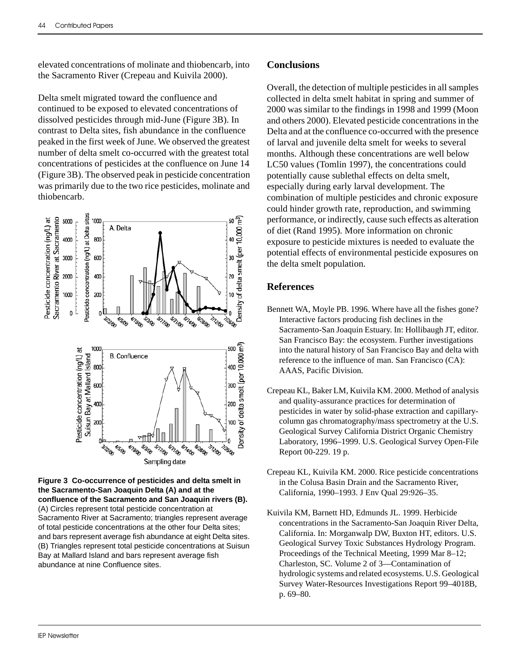elevated concentrations of molinate and thiobencarb, into the Sacramento River (Crepeau and Kuivila 2000).

Delta smelt migrated toward the confluence and continued to be exposed to elevated concentrations of dissolved pesticides through mid-June (Figure 3B). In contrast to Delta sites, fish abundance in the confluence peaked in the first week of June. We observed the greatest number of delta smelt co-occurred with the greatest total concentrations of pesticides at the confluence on June 14 (Figure 3B). The observed peak in pesticide concentration was primarily due to the two rice pesticides, molinate and thiobencarb.



**Figure 3 Co-occurrence of pesticides and delta smelt in the Sacramento-San Joaquin Delta (A) and at the confluence of the Sacramento and San Joaquin rivers (B).**  (A) Circles represent total pesticide concentration at Sacramento River at Sacramento; triangles represent average of total pesticide concentrations at the other four Delta sites; and bars represent average fish abundance at eight Delta sites. (B) Triangles represent total pesticide concentrations at Suisun Bay at Mallard Island and bars represent average fish abundance at nine Confluence sites.

### **Conclusions**

Overall, the detection of multiple pesticides in all samples collected in delta smelt habitat in spring and summer of 2000 was similar to the findings in 1998 and 1999 (Moon and others 2000). Elevated pesticide concentrations in the Delta and at the confluence co-occurred with the presence of larval and juvenile delta smelt for weeks to several months. Although these concentrations are well below LC50 values (Tomlin 1997), the concentrations could potentially cause sublethal effects on delta smelt, especially during early larval development. The combination of multiple pesticides and chronic exposure could hinder growth rate, reproduction, and swimming performance, or indirectly, cause such effects as alteration of diet (Rand 1995). More information on chronic exposure to pesticide mixtures is needed to evaluate the potential effects of environmental pesticide exposures on the delta smelt population.

## **References**

- Bennett WA, Moyle PB. 1996. Where have all the fishes gone? Interactive factors producing fish declines in the Sacramento-San Joaquin Estuary. In: Hollibaugh JT, editor. San Francisco Bay: the ecosystem. Further investigations into the natural history of San Francisco Bay and delta with reference to the influence of man. San Francisco (CA): AAAS, Pacific Division.
- Crepeau KL, Baker LM, Kuivila KM. 2000. Method of analysis and quality-assurance practices for determination of pesticides in water by solid-phase extraction and capillarycolumn gas chromatography/mass spectrometry at the U.S. Geological Survey California District Organic Chemistry Laboratory, 1996–1999. U.S. Geological Survey Open-File Report 00-229. 19 p.
- Crepeau KL, Kuivila KM. 2000. Rice pesticide concentrations in the Colusa Basin Drain and the Sacramento River, California, 1990–1993. J Env Qual 29:926–35.
- Kuivila KM, Barnett HD, Edmunds JL. 1999. Herbicide concentrations in the Sacramento-San Joaquin River Delta, California. In: Morganwalp DW, Buxton HT, editors. U.S. Geological Survey Toxic Substances Hydrology Program. Proceedings of the Technical Meeting, 1999 Mar 8–12; Charleston, SC. Volume 2 of 3—Contamination of hydrologic systems and related ecosystems. U.S. Geological Survey Water-Resources Investigations Report 99–4018B, p. 69–80.